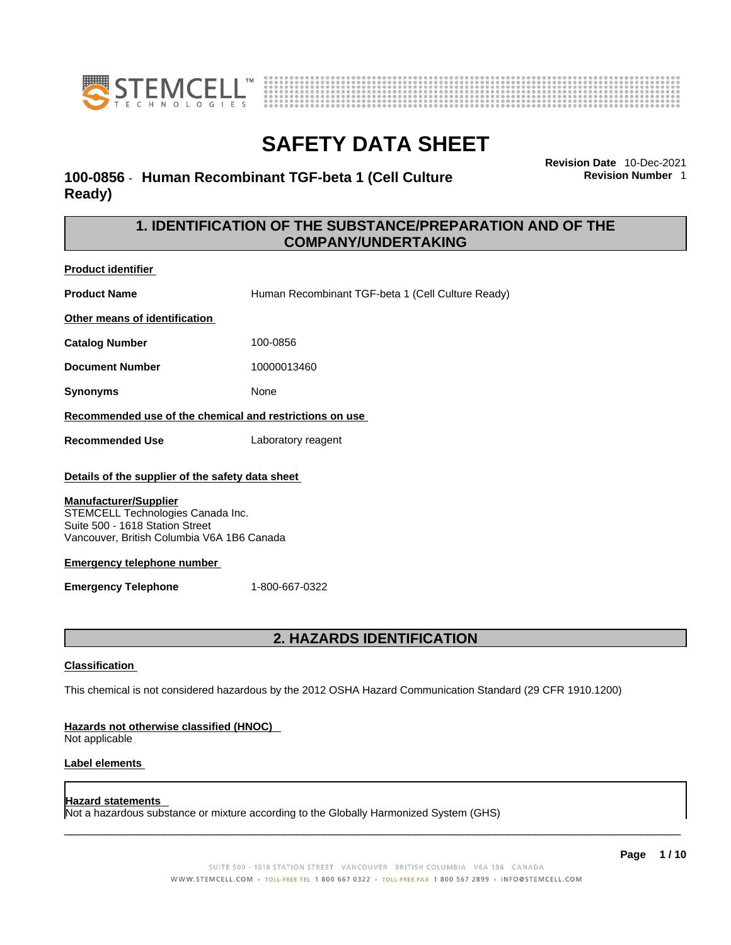



### **100-0856** - **Human Recombinant TGF-beta 1 (Cell Culture Ready)**

**Revision Date** 10-Dec-2021

**Revision Number** 1

### **1. IDENTIFICATION OF THE SUBSTANCE/PREPARATION AND OF THE COMPANY/UNDERTAKING**

**Product identifier**

**Product Name Human Recombinant TGF-beta 1 (Cell Culture Ready) Other means of identification**

**Catalog Number** 100-0856

**Document Number** 10000013460

**Synonyms** None

**Recommended use of the chemical and restrictions on use**

**Recommended Use** Laboratory reagent

### **Details of the supplier of the safety data sheet**

### **Manufacturer/Supplier**

STEMCELL Technologies Canada Inc. Suite 500 - 1618 Station Street Vancouver, British Columbia V6A 1B6 Canada

### **Emergency telephone number**

**Emergency Telephone** 1-800-667-0322

### **2. HAZARDS IDENTIFICATION**

### **Classification**

This chemical is not considered hazardous by the 2012 OSHA Hazard Communication Standard (29 CFR 1910.1200)

### **Hazards not otherwise classified (HNOC)**

Not applicable

### **Label elements**

### **Hazard statements**

Not a hazardous substance or mixture according to the Globally Harmonized System (GHS)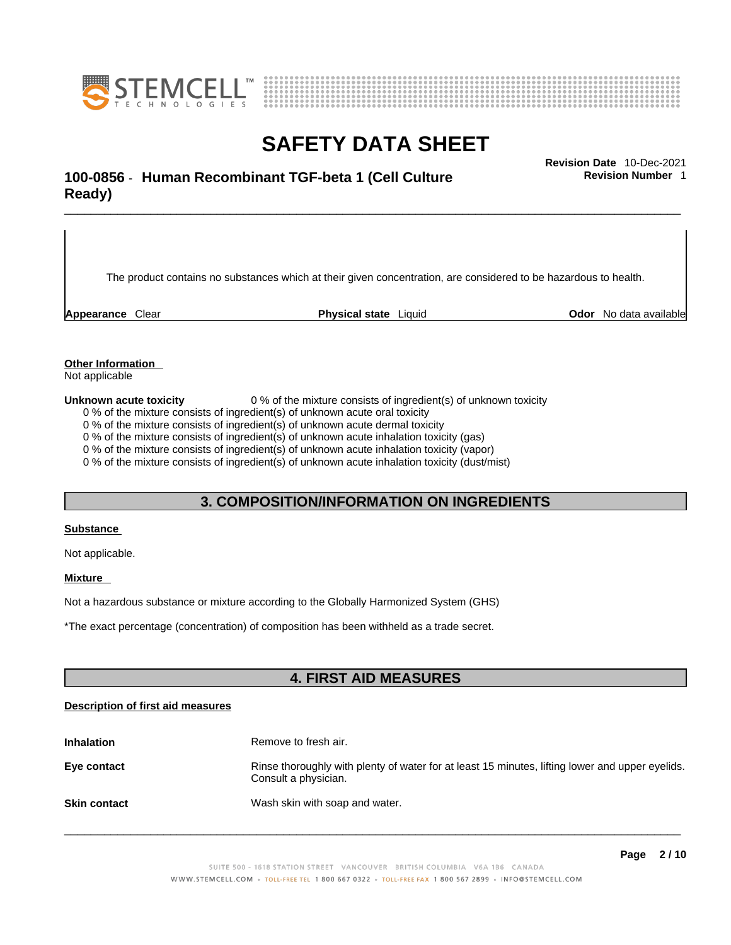



### \_\_\_\_\_\_\_\_\_\_\_\_\_\_\_\_\_\_\_\_\_\_\_\_\_\_\_\_\_\_\_\_\_\_\_\_\_\_\_\_\_\_\_\_\_\_\_\_\_\_\_\_\_\_\_\_\_\_\_\_\_\_\_\_\_\_\_\_\_\_\_\_\_\_\_\_\_\_\_\_\_\_\_\_\_\_\_\_\_\_\_\_\_ **Revision Date** 10-Dec-2021 **100-0856** - **Human Recombinant TGF-beta 1 (Cell Culture Ready)**

The product contains no substances which at their given concentration, are considered to be hazardous to health.

**Appearance** Clear **Physical state** Liquid **Odor** No data available

**Revision Number** 1

**Other Information** 

Not applicable

**Unknown acute toxicity** 0 % of the mixture consists of ingredient(s) of unknown toxicity

0 % of the mixture consists of ingredient(s) of unknown acute oral toxicity

0 % of the mixture consists of ingredient(s) of unknown acute dermal toxicity

0 % of the mixture consists of ingredient(s) of unknown acute inhalation toxicity (gas)

0 % of the mixture consists of ingredient(s) of unknown acute inhalation toxicity (vapor)

0 % of the mixture consists of ingredient(s) of unknown acute inhalation toxicity (dust/mist)

### **3. COMPOSITION/INFORMATION ON INGREDIENTS**

#### **Substance**

Not applicable.

### **Mixture**

Not a hazardous substance or mixture according to the Globally Harmonized System (GHS)

\*The exact percentage (concentration) ofcomposition has been withheld as a trade secret.

### **4. FIRST AID MEASURES**

### **Description of first aid measures**

| <b>Inhalation</b>   | Remove to fresh air.                                                                                                    |
|---------------------|-------------------------------------------------------------------------------------------------------------------------|
| Eye contact         | Rinse thoroughly with plenty of water for at least 15 minutes, lifting lower and upper eyelids.<br>Consult a physician. |
| <b>Skin contact</b> | Wash skin with soap and water.                                                                                          |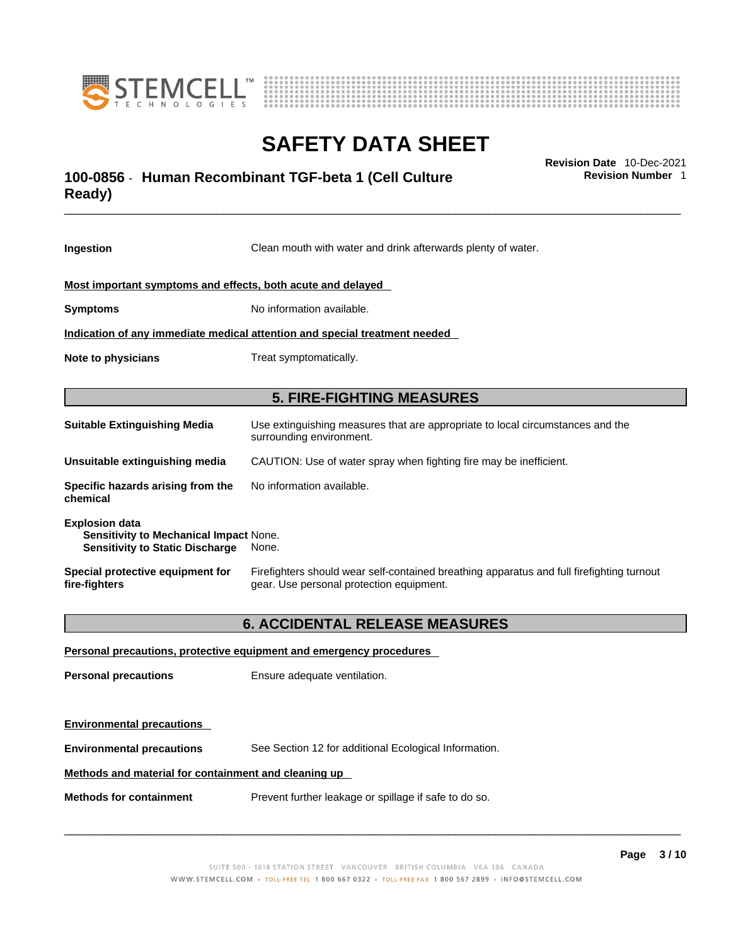



### \_\_\_\_\_\_\_\_\_\_\_\_\_\_\_\_\_\_\_\_\_\_\_\_\_\_\_\_\_\_\_\_\_\_\_\_\_\_\_\_\_\_\_\_\_\_\_\_\_\_\_\_\_\_\_\_\_\_\_\_\_\_\_\_\_\_\_\_\_\_\_\_\_\_\_\_\_\_\_\_\_\_\_\_\_\_\_\_\_\_\_\_\_ **Revision Date** 10-Dec-2021 **100-0856** - **Human Recombinant TGF-beta 1 (Cell Culture Ready)**

**Ingestion** Clean mouth with water and drink afterwards plenty of water. **Most important symptoms and effects, both acute and delayed Symptoms** No information available. **Indication of any immediate medical attention and special treatment needed Note to physicians** Treat symptomatically. **5. FIRE-FIGHTING MEASURES Suitable Extinguishing Media** Use extinguishing measures that are appropriate to local circumstances and the surrounding environment. **Unsuitable extinguishing media** CAUTION: Use of water spray when fighting fire may be inefficient. **Specific hazards arising from the chemical** No information available. **Explosion data Sensitivity to Mechanical Impact** None. **Sensitivity to Static Discharge** None. **Special protective equipment for fire-fighters** Firefighters should wear self-contained breathing apparatus and full firefighting turnout gear. Use personal protection equipment. **6. ACCIDENTAL RELEASE MEASURES Personal precautions, protective equipment and emergency procedures Personal precautions** Ensure adequate ventilation.

**Environmental precautions** See Section 12 for additional Ecological Information.

### **Methods and material for containment and cleaning up**

**Methods for containment** Prevent further leakage or spillage if safe to do so.

**Environmental precautions** 

 $\_$  ,  $\_$  ,  $\_$  ,  $\_$  ,  $\_$  ,  $\_$  ,  $\_$  ,  $\_$  ,  $\_$  ,  $\_$  ,  $\_$  ,  $\_$  ,  $\_$  ,  $\_$  ,  $\_$  ,  $\_$  ,  $\_$  ,  $\_$  ,  $\_$  ,  $\_$  ,  $\_$  ,  $\_$  ,  $\_$  ,  $\_$  ,  $\_$  ,  $\_$  ,  $\_$  ,  $\_$  ,  $\_$  ,  $\_$  ,  $\_$  ,  $\_$  ,  $\_$  ,  $\_$  ,  $\_$  ,  $\_$  ,  $\_$  ,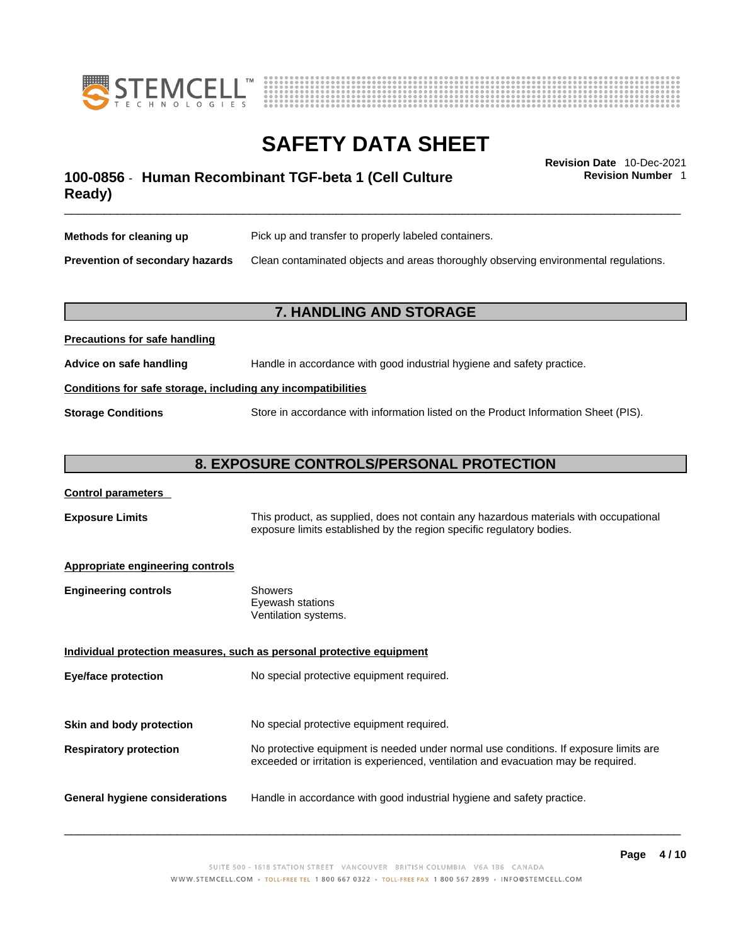



**Revision Number** 1

### \_\_\_\_\_\_\_\_\_\_\_\_\_\_\_\_\_\_\_\_\_\_\_\_\_\_\_\_\_\_\_\_\_\_\_\_\_\_\_\_\_\_\_\_\_\_\_\_\_\_\_\_\_\_\_\_\_\_\_\_\_\_\_\_\_\_\_\_\_\_\_\_\_\_\_\_\_\_\_\_\_\_\_\_\_\_\_\_\_\_\_\_\_ **Revision Date** 10-Dec-2021 **100-0856** - **Human Recombinant TGF-beta 1 (Cell Culture Ready)**

**Methods for cleaning up** Pick up and transfer to properly labeled containers. **Prevention of secondary hazards** Clean contaminated objects and areas thoroughly observing environmental regulations.

### **7. HANDLING AND STORAGE**

## **Precautions for safe handling Advice on safe handling** Handle in accordance with good industrial hygiene and safety practice. **Conditions for safe storage, including any incompatibilities Storage Conditions** Store in accordance with information listed on the Product Information Sheet (PIS).

### **8. EXPOSURE CONTROLS/PERSONAL PROTECTION**

### **Control parameters**

**Exposure Limits** This product, as supplied, does not contain any hazardous materials with occupational exposure limits established by the region specific regulatory bodies.

### **Appropriate engineering controls**

| Showers              |
|----------------------|
| Eyewash stations     |
| Ventilation systems. |
|                      |

**Individual protection measures, such as personal protective equipment Eye/face protection** No special protective equipment required. **Skin and body protection** No special protective equipment required. **Respiratory protection** No protective equipment is needed under normal use conditions. If exposure limits are exceeded or irritation is experienced, ventilation and evacuation may be required. **General hygiene considerations** Handle in accordance with good industrial hygiene and safety practice.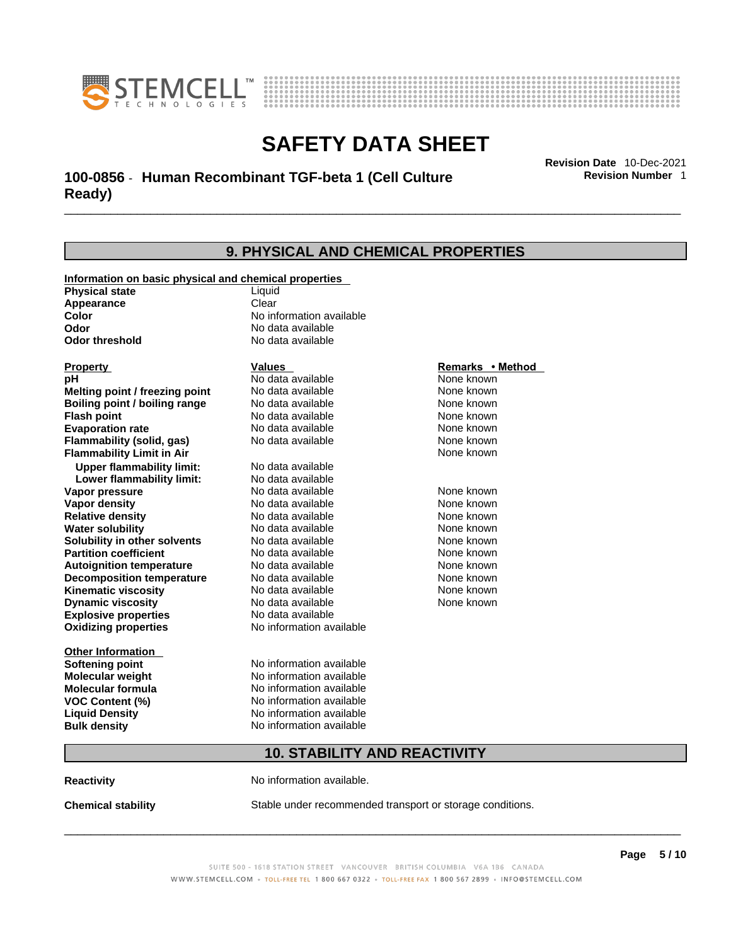



### \_\_\_\_\_\_\_\_\_\_\_\_\_\_\_\_\_\_\_\_\_\_\_\_\_\_\_\_\_\_\_\_\_\_\_\_\_\_\_\_\_\_\_\_\_\_\_\_\_\_\_\_\_\_\_\_\_\_\_\_\_\_\_\_\_\_\_\_\_\_\_\_\_\_\_\_\_\_\_\_\_\_\_\_\_\_\_\_\_\_\_\_\_ **Revision Date** 10-Dec-2021 **100-0856** - **Human Recombinant TGF-beta 1 (Cell Culture Ready)**

**9. PHYSICAL AND CHEMICAL PROPERTIES Information on basic physical and chemical properties Physical state** Liquid **Appearance** Clear<br> **Color** No int **Color Color Color Color Color Color Color No** data available **Odor Odor Constanting Codor Constanting Codor Codor Codor Codor Codor Codor Codor Codor Codor Codor Codor Codor Codor Codor Codor Codor Codor Codor Codor Codor Codor Codor Codor No data available Explosive properties** No data available **Oxidizing properties** No information available **Other Information Softening point** No information available **Molecular weight** No information available **Molecular formula** No information available<br>**VOC Content (%)** No information available **VOC Content (%) Liquid Density** No information available **Bulk density No information available 10. STABILITY AND REACTIVITY Property CONSCRUTE IN THE VALUES REMARKS • Method pH** No data available None known **Melting point / freezing point Boiling point / boiling range Modata available None known Flash point Communist Communist Communist Communist Communist Communist Communist Communist Communist Communist Communist Communist Communist Communist Communist Communist Communist Communist Communist Communist Communi Evaporation rate Reserve ACC** No data available **None known** None known **Flammability (solid, gas)** No data available None known **Flammability Limit in Air None known None known Upper flammability limit:** No data available **Lower flammability limit:** No data available **Vapor pressure No data available None known Vapor density No data available None known Relative density No data available None known** None known **Water solubility No data available** Mome known<br> **Solubility in other solvents** No data available **None known**<br>
None known **Solubility in other solvents** No data available **None known**<br> **Partition coefficient** No data available None known **Partition coefficient**<br>**Autoignition temperature** No data available **Autoignition temperature** No data available None known<br> **Decomposition temperature** No data available None known **Decomposition temperature** No data available None known<br> **Kinematic viscosity** No data available None known **Kinematic viscosity** No data available<br> **Dynamic viscosity** No data available **Dynamic viscosity** None known

**Reactivity No information available.** 

**Chemical stability** Stable under recommended transport or storage conditions.

 $\_$  ,  $\_$  ,  $\_$  ,  $\_$  ,  $\_$  ,  $\_$  ,  $\_$  ,  $\_$  ,  $\_$  ,  $\_$  ,  $\_$  ,  $\_$  ,  $\_$  ,  $\_$  ,  $\_$  ,  $\_$  ,  $\_$  ,  $\_$  ,  $\_$  ,  $\_$  ,  $\_$  ,  $\_$  ,  $\_$  ,  $\_$  ,  $\_$  ,  $\_$  ,  $\_$  ,  $\_$  ,  $\_$  ,  $\_$  ,  $\_$  ,  $\_$  ,  $\_$  ,  $\_$  ,  $\_$  ,  $\_$  ,  $\_$  ,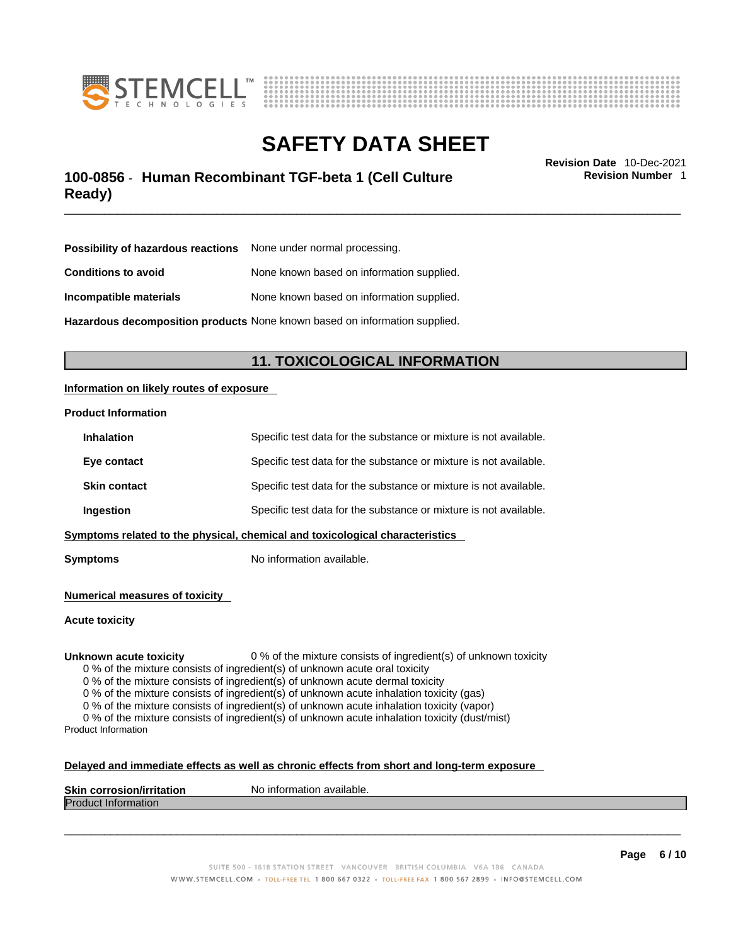



### \_\_\_\_\_\_\_\_\_\_\_\_\_\_\_\_\_\_\_\_\_\_\_\_\_\_\_\_\_\_\_\_\_\_\_\_\_\_\_\_\_\_\_\_\_\_\_\_\_\_\_\_\_\_\_\_\_\_\_\_\_\_\_\_\_\_\_\_\_\_\_\_\_\_\_\_\_\_\_\_\_\_\_\_\_\_\_\_\_\_\_\_\_ **Revision Date** 10-Dec-2021 **100-0856** - **Human Recombinant TGF-beta 1 (Cell Culture Ready)**

**Revision Number** 1

| <b>Possibility of hazardous reactions</b> None under normal processing.    |                                           |  |
|----------------------------------------------------------------------------|-------------------------------------------|--|
| <b>Conditions to avoid</b>                                                 | None known based on information supplied. |  |
| Incompatible materials                                                     | None known based on information supplied. |  |
| Hazardous decomposition products None known based on information supplied. |                                           |  |

**11. TOXICOLOGICAL INFORMATION** 

### **Information on likely routes of exposure**

### **Product Information**

| Ingestion           | Specific test data for the substance or mixture is not available. |
|---------------------|-------------------------------------------------------------------|
| <b>Skin contact</b> | Specific test data for the substance or mixture is not available. |
| Eye contact         | Specific test data for the substance or mixture is not available. |
| <b>Inhalation</b>   | Specific test data for the substance or mixture is not available. |

**Symptoms** No information available.

**Numerical measures of toxicity**

**Acute toxicity**

**Unknown acute toxicity** 0 % of the mixture consists of ingredient(s) of unknown toxicity

0 % of the mixture consists of ingredient(s) of unknown acute oral toxicity

0 % of the mixture consists of ingredient(s) of unknown acute dermal toxicity

0 % of the mixture consists of ingredient(s) of unknown acute inhalation toxicity (gas)

0 % of the mixture consists of ingredient(s) of unknown acute inhalation toxicity (vapor)

0 % of the mixture consists of ingredient(s) of unknown acute inhalation toxicity (dust/mist) Product Information

#### **Delayed and immediate effects as well as chronic effects from short and long-term exposure**

| <b>Skin</b><br>ion/irritation<br>ı corrosior | No information available. |
|----------------------------------------------|---------------------------|
| <b>IProdi</b><br><b>Information</b><br>ucu.  |                           |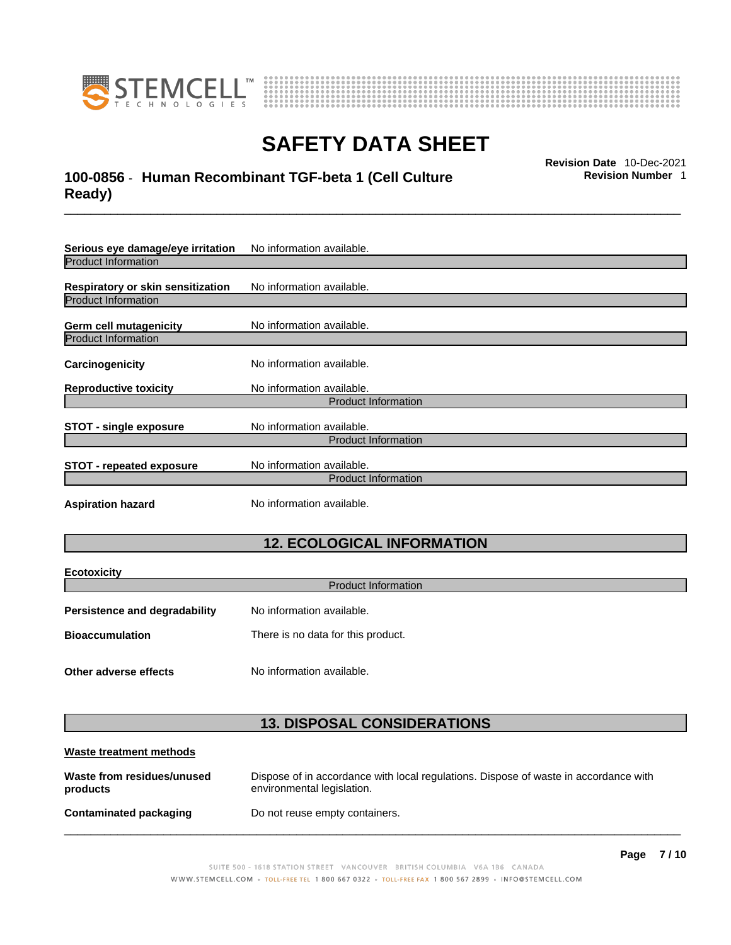



### \_\_\_\_\_\_\_\_\_\_\_\_\_\_\_\_\_\_\_\_\_\_\_\_\_\_\_\_\_\_\_\_\_\_\_\_\_\_\_\_\_\_\_\_\_\_\_\_\_\_\_\_\_\_\_\_\_\_\_\_\_\_\_\_\_\_\_\_\_\_\_\_\_\_\_\_\_\_\_\_\_\_\_\_\_\_\_\_\_\_\_\_\_ **Revision Date** 10-Dec-2021 **100-0856** - **Human Recombinant TGF-beta 1 (Cell Culture Ready)**

**Serious eye damage/eye irritation** No information available. Product Information **Respiratory or skin sensitization** No information available. Product Information **Germ cell mutagenicity** No information available. Product Information **Carcinogenicity** No information available. **Reproductive toxicity** No information available. Product Information **STOT** - single exposure<br>
No information available. Product Information **STOT** - **repeated exposure** No information available. Product Information **Aspiration hazard** No information available.

### **12. ECOLOGICAL INFORMATION**

| <b>Ecotoxicity</b>                                           |  |  |
|--------------------------------------------------------------|--|--|
| <b>Product Information</b>                                   |  |  |
| No information available.                                    |  |  |
| <b>Bioaccumulation</b><br>There is no data for this product. |  |  |
|                                                              |  |  |
| No information available.                                    |  |  |
|                                                              |  |  |

### **13. DISPOSAL CONSIDERATIONS**

| Waste treatment methods                |                                                                                                                    |  |
|----------------------------------------|--------------------------------------------------------------------------------------------------------------------|--|
| Waste from residues/unused<br>products | Dispose of in accordance with local regulations. Dispose of waste in accordance with<br>environmental legislation. |  |
| Contaminated packaging                 | Do not reuse empty containers.                                                                                     |  |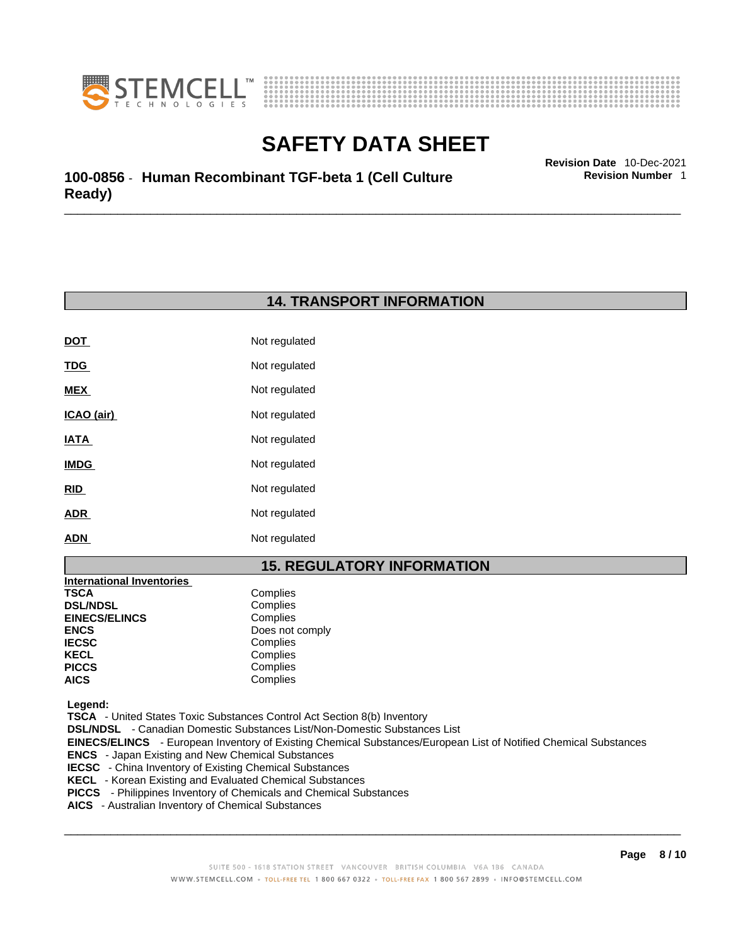



\_\_\_\_\_\_\_\_\_\_\_\_\_\_\_\_\_\_\_\_\_\_\_\_\_\_\_\_\_\_\_\_\_\_\_\_\_\_\_\_\_\_\_\_\_\_\_\_\_\_\_\_\_\_\_\_\_\_\_\_\_\_\_\_\_\_\_\_\_\_\_\_\_\_\_\_\_\_\_\_\_\_\_\_\_\_\_\_\_\_\_\_\_ **Revision Date** 10-Dec-2021 **100-0856** - **Human Recombinant TGF-beta 1 (Cell Culture Ready)** 

### **14. TRANSPORT INFORMATION**

| <b>DOT</b>  | Not regulated |
|-------------|---------------|
| <u>TDG</u>  | Not regulated |
| MEX         | Not regulated |
| ICAO (air)  | Not regulated |
| IATA        | Not regulated |
| <b>IMDG</b> | Not regulated |
| RID         | Not regulated |
| <b>ADR</b>  | Not regulated |
| <b>ADN</b>  | Not regulated |

### **15. REGULATORY INFORMATION**

| <b>International Inventories</b> |                 |
|----------------------------------|-----------------|
| TSCA                             | Complies        |
| <b>DSL/NDSL</b>                  | Complies        |
| <b>EINECS/ELINCS</b>             | Complies        |
| ENCS                             | Does not comply |
| <b>IECSC</b>                     | Complies        |
| KECL                             | Complies        |
| PICCS                            | Complies        |
| AICS                             | Complies        |
|                                  |                 |

 **Legend:** 

 **TSCA** - United States Toxic Substances Control Act Section 8(b) Inventory

 **DSL/NDSL** - Canadian Domestic Substances List/Non-Domestic Substances List

 **EINECS/ELINCS** - European Inventory of Existing Chemical Substances/European List of Notified Chemical Substances

- **ENCS**  Japan Existing and New Chemical Substances
- **IECSC**  China Inventory of Existing Chemical Substances
- **KECL**  Korean Existing and Evaluated Chemical Substances
- **PICCS**  Philippines Inventory of Chemicals and Chemical Substances
- **AICS**  Australian Inventory of Chemical Substances

 $\_$  ,  $\_$  ,  $\_$  ,  $\_$  ,  $\_$  ,  $\_$  ,  $\_$  ,  $\_$  ,  $\_$  ,  $\_$  ,  $\_$  ,  $\_$  ,  $\_$  ,  $\_$  ,  $\_$  ,  $\_$  ,  $\_$  ,  $\_$  ,  $\_$  ,  $\_$  ,  $\_$  ,  $\_$  ,  $\_$  ,  $\_$  ,  $\_$  ,  $\_$  ,  $\_$  ,  $\_$  ,  $\_$  ,  $\_$  ,  $\_$  ,  $\_$  ,  $\_$  ,  $\_$  ,  $\_$  ,  $\_$  ,  $\_$  ,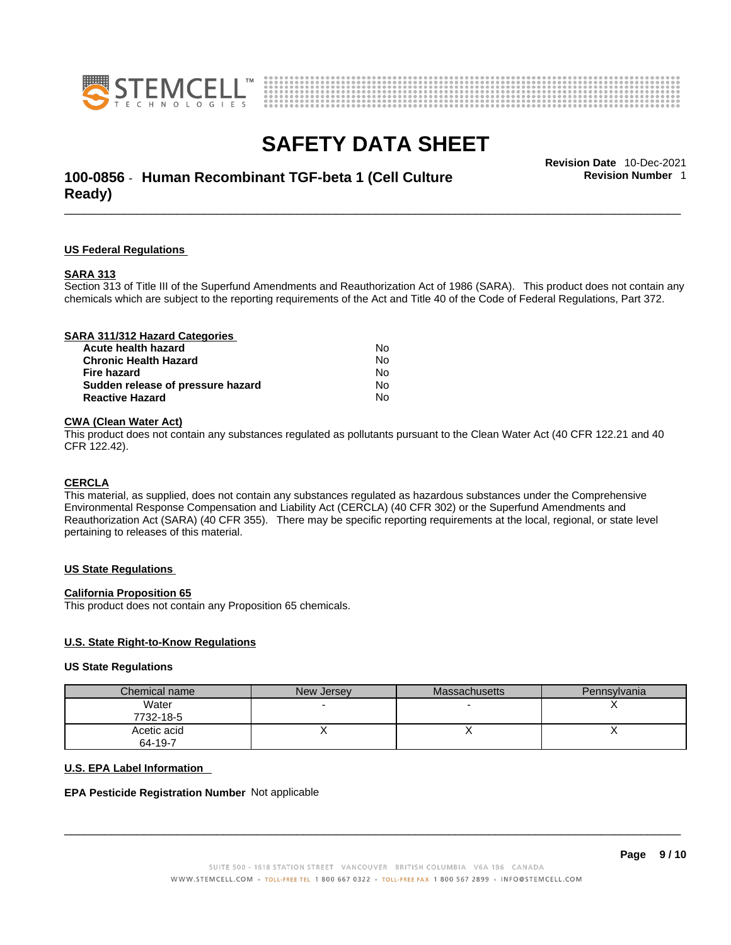



### \_\_\_\_\_\_\_\_\_\_\_\_\_\_\_\_\_\_\_\_\_\_\_\_\_\_\_\_\_\_\_\_\_\_\_\_\_\_\_\_\_\_\_\_\_\_\_\_\_\_\_\_\_\_\_\_\_\_\_\_\_\_\_\_\_\_\_\_\_\_\_\_\_\_\_\_\_\_\_\_\_\_\_\_\_\_\_\_\_\_\_\_\_ **Revision Date** 10-Dec-2021 **100-0856** - **Human Recombinant TGF-beta 1 (Cell Culture Ready)**

**Revision Number** 1

### **US Federal Regulations**

#### **SARA 313**

Section 313 of Title III of the Superfund Amendments and Reauthorization Act of 1986 (SARA). This product does not contain any chemicals which are subject to the reporting requirements of the Act and Title 40 of the Code of Federal Regulations, Part 372.

### **CWA** (Clean Water Act)

This product does not contain any substances regulated as pollutants pursuant to the Clean Water Act (40 CFR 122.21 and 40 CFR 122.42).

#### **CERCLA**

This material, as supplied, does not contain any substances regulated as hazardous substances under the Comprehensive Environmental Response Compensation and Liability Act (CERCLA) (40 CFR 302) or the Superfund Amendments and Reauthorization Act (SARA) (40 CFR 355). There may be specific reporting requirements at the local, regional, or state level pertaining to releases of this material.

#### **US State Regulations**

#### **California Proposition 65**

This product does not contain any Proposition 65 chemicals.

#### **U.S. State Right-to-Know Regulations**

#### **US State Regulations**

| Chemical name | New Jersey | <b>Massachusetts</b> | Pennsylvania |
|---------------|------------|----------------------|--------------|
| Water         |            |                      |              |
| 7732-18-5     |            |                      |              |
| Acetic acid   |            |                      |              |
| 64-19-7       |            |                      |              |

#### **U.S. EPA Label Information**

#### **EPA Pesticide Registration Number** Not applicable